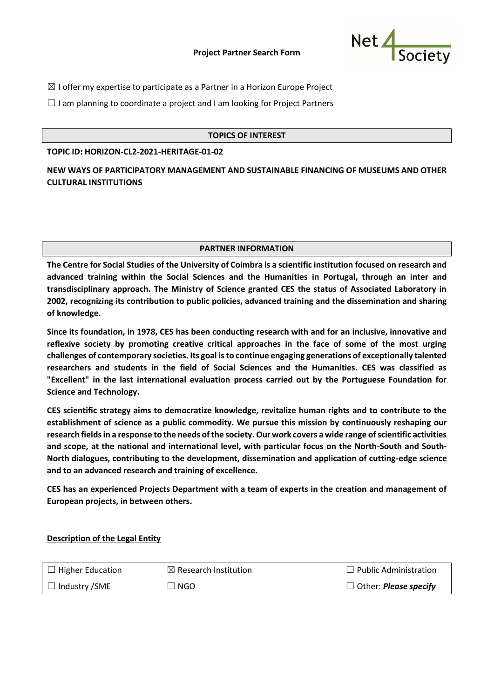#### **Project Partner Search Form**



 $\boxtimes$  I offer my expertise to participate as a Partner in a Horizon Europe Project

 $\Box$  I am planning to coordinate a project and I am looking for Project Partners

#### **TOPICS OF INTEREST**

**TOPIC ID: HORIZON-CL2-2021-HERITAGE-01-02**

**NEW WAYS OF PARTICIPATORY MANAGEMENT AND SUSTAINABLE FINANCING OF MUSEUMS AND OTHER CULTURAL INSTITUTIONS**

#### **PARTNER INFORMATION**

**The Centre for Social Studies of the University of Coimbra is a scientific institution focused on research and advanced training within the Social Sciences and the Humanities in Portugal, through an inter and transdisciplinary approach. The Ministry of Science granted CES the status of Associated Laboratory in 2002, recognizing its contribution to public policies, advanced training and the dissemination and sharing of knowledge.**

**Since its foundation, in 1978, CES has been conducting research with and for an inclusive, innovative and reflexive society by promoting creative critical approaches in the face of some of the most urging challenges of contemporary societies. Its goal is to continue engaging generations of exceptionally talented researchers and students in the field of Social Sciences and the Humanities. CES was classified as "Excellent" in the last international evaluation process carried out by the Portuguese Foundation for Science and Technology.**

**CES scientific strategy aims to democratize knowledge, revitalize human rights and to contribute to the establishment of science as a public commodity. We pursue this mission by continuously reshaping our research fields in a response to the needs of the society. Our work covers a wide range of scientific activities and scope, at the national and international level, with particular focus on the North-South and South-North dialogues, contributing to the development, dissemination and application of cutting-edge science and to an advanced research and training of excellence.**

**CES has an experienced Projects Department with a team of experts in the creation and management of European projects, in between others.**

# **Description of the Legal Entity**

| $\Box$ Higher Education | $\boxtimes$ Research Institution | $\Box$ Public Administration        |
|-------------------------|----------------------------------|-------------------------------------|
| $\Box$ Industry /SME    | $\Box$ NGO $\Box$                | $\Box$ Other: <i>Please specify</i> |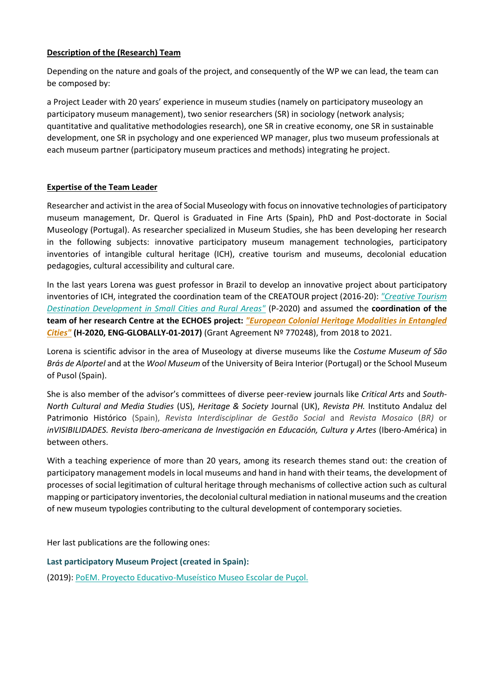# **Description of the (Research) Team**

Depending on the nature and goals of the project, and consequently of the WP we can lead, the team can be composed by:

a Project Leader with 20 years' experience in museum studies (namely on participatory museology an participatory museum management), two senior researchers (SR) in sociology (network analysis; quantitative and qualitative methodologies research), one SR in creative economy, one SR in sustainable development, one SR in psychology and one experienced WP manager, plus two museum professionals at each museum partner (participatory museum practices and methods) integrating he project.

### **Expertise of the Team Leader**

Researcher and activist in the area of Social Museology with focus on innovative technologies of participatory museum management, Dr. Querol is Graduated in Fine Arts (Spain), PhD and Post-doctorate in Social Museology (Portugal). As researcher specialized in Museum Studies, she has been developing her research in the following subjects: innovative participatory museum management technologies, participatory inventories of intangible cultural heritage (ICH), creative tourism and museums, decolonial education pedagogies, cultural accessibility and cultural care.

In the last years Lorena was guest professor in Brazil to develop an innovative project about participatory inventories of ICH, integrated the coordination team of the CREATOUR project (2016-20): *["Creative Tourism](https://creatour.pt/en/)  [Destination Development in Small Cities and Rural Areas"](https://creatour.pt/en/)* (P-2020) and assumed the **coordination of the team of her research Centre at the ECHOES project:** *["European Colonial Heritage Modalities in Entangled](http://projectechoes.eu/)  [Cities"](http://projectechoes.eu/)* **(H-2020, ENG-GLOBALLY-01-2017)** (Grant Agreement Nº 770248), from 2018 to 2021.

Lorena is scientific advisor in the area of Museology at diverse museums like the *Costume Museum of São Brás de Alportel* and at the *Wool Museum* of the University of Beira Interior (Portugal) or the School Museum of Pusol (Spain).

She is also member of the advisor's committees of diverse peer-review journals like *Critical Arts* and *South-North Cultural and Media Studies* (US), *Heritage & Society* Journal (UK), *Revista PH.* Instituto Andaluz del Patrimonio Histórico (Spain), *Revista Interdisciplinar de Gestão Social* and *[Revista Mosaico](http://www.ces.uc.pt/projectos/somus/files/Certificado%20avaliadora%20Mosaico.pdf)* (*BR)* or *inVISIBILIDADES. [Revista Ibero-americana de Investigación en Educación, Cultura y Artes](http://www.ces.uc.pt/projectos/somus/files/Certificado%20CC%20Invisibilidades.%20Lorena%20Sancho%20Querol.pdf)* (Ibero-América) in between others.

With a teaching experience of more than 20 years, among its research themes stand out: the creation of participatory management models in local museums and hand in hand with their teams, the development of processes of social legitimation of cultural heritage through mechanisms of collective action such as cultural mapping or participatory inventories, the decolonial cultural mediation in national museums and the creation of new museum typologies contributing to the cultural development of contemporary societies.

Her last publications are the following ones:

#### **Last participatory Museum Project (created in Spain):**

(2019): [PoEM. Proyecto Educativo-Museístico Museo Escolar de Puçol.](https://www.academia.edu/49168026/PoEM_Proyecto_Educativo_Muse%C3%ADstico_Museo_Escolar_de_Pu%C3%A7ol)